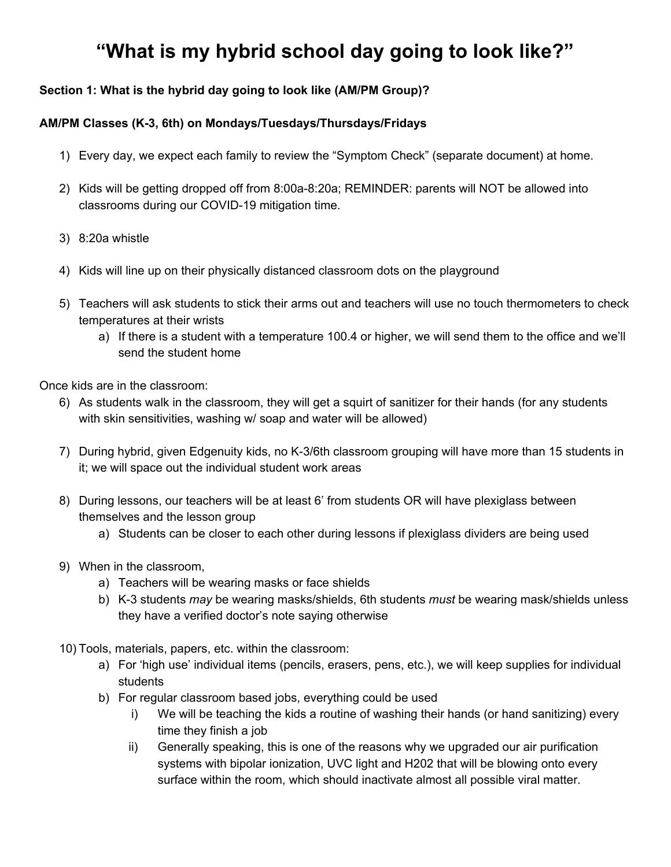# **"What is my hybrid school day going to look like?"**

## **Section 1: What is the hybrid day going to look like (AM/PM Group)?**

## **AM/PM Classes (K-3, 6th) on Mondays/Tuesdays/Thursdays/Fridays**

- 1) Every day, we expect each family to review the "Symptom Check" (separate document) at home.
- 2) Kids will be getting dropped off from 8:00a-8:20a; REMINDER: parents will NOT be allowed into classrooms during our COVID-19 mitigation time.
- 3) 8:20a whistle
- 4) Kids will line up on their physically distanced classroom dots on the playground
- 5) Teachers will ask students to stick their arms out and teachers will use no touch thermometers to check temperatures at their wrists
	- a) If there is a student with a temperature 100.4 or higher, we will send them to the office and we'll send the student home

Once kids are in the classroom:

- 6) As students walk in the classroom, they will get a squirt of sanitizer for their hands (for any students with skin sensitivities, washing w/ soap and water will be allowed)
- 7) During hybrid, given Edgenuity kids, no K-3/6th classroom grouping will have more than 15 students in it; we will space out the individual student work areas
- 8) During lessons, our teachers will be at least 6' from students OR will have plexiglass between themselves and the lesson group
	- a) Students can be closer to each other during lessons if plexiglass dividers are being used
- 9) When in the classroom,
	- a) Teachers will be wearing masks or face shields
	- b) K-3 students *may* be wearing masks/shields, 6th students *must* be wearing mask/shields unless they have a verified doctor's note saying otherwise
- 10) Tools, materials, papers, etc. within the classroom:
	- a) For 'high use' individual items (pencils, erasers, pens, etc.), we will keep supplies for individual students
	- b) For regular classroom based jobs, everything could be used
		- i) We will be teaching the kids a routine of washing their hands (or hand sanitizing) every time they finish a job
		- ii) Generally speaking, this is one of the reasons why we upgraded our air purification systems with bipolar ionization, UVC light and H202 that will be blowing onto every surface within the room, which should inactivate almost all possible viral matter.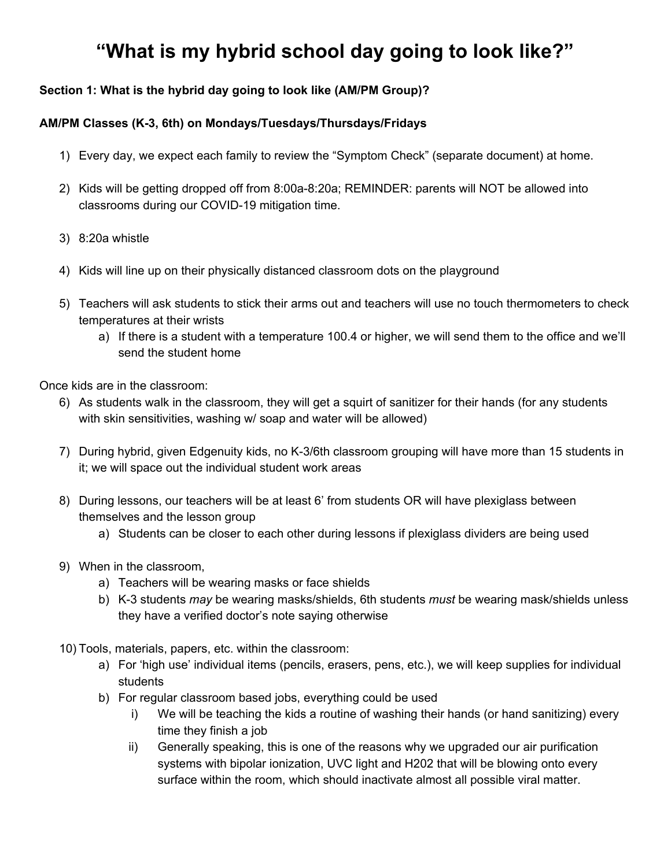- 11) When we go outside to recess, kids will be sanitizing (or washing) their hands when they go out and when they come back in
- 12) PE/recess: We will be doing primarily outdoor-based activities, weather permitting. We will be sanitizing PE/recess equipment multiple times per day.
- 13) End of day:
	- a) We will take the kids to pick-up at 11:20a out front (pick-up 11:20a-11:30a)
		- i) Some students might've ordered hot lunch; with this group, it'll be 'grab and go' to the parking lot unless they're going to After Care
- 14) Lunch Break for the teachers from 11:30a 12:20p
	- a) During this time, custodial staff will do all the common surface sanitize wipe downs within each classroom
- 15) PM Groups start at 12:20p (same rules as the AM Group)

#### **Bigger picture Goals:**

Goal 1: Keep co-teachers more than 6' apart from each other (unless plexiglass in between)

Goal 2: Keep teachers more than 6' from students as much as reasonably possible (unless plexiglass in between)

- We're trying to avoid ANY adult being within 6' of another person for MORE than 15 minutes - this is 'sustained close contact' in the COVID-19 rules, and we want to AVOID that if possible

Goal 3: Keep students at least 3' apart from each other when inside (unless plexiglass in between)

Goal 4: Have kids (and staff) wash their hands at every 'transitional' point (inside to outside, between jobs, etc.) during the day.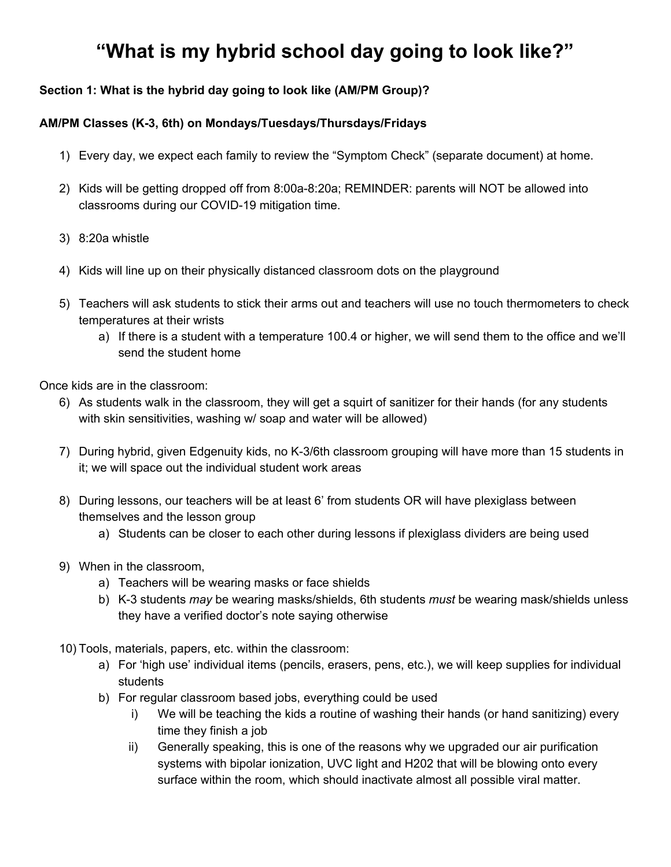# **Section 2: What is the hybrid day going to look like (A/B Group)?**

### **A/B Classes (4-5, 7-8th Grade) on Mondays/Tuesdays/Thursdays/Fridays**

- Kids getting dropped off from 8:10a-8:30a
- 8:30a whistle
- Kids will line up on their classroom dots
- Teachers will ask students to stick their arms out and teachers will use no touch thermometers to check temperatures at their wrists
	- a) If there is a student with a temperature exceeding 100.4 degrees, we'll have them go to the office and we'll send the student home

Once kids are in the classroom:

- As students walk in the classroom, they get 1 squirt of sanitizer for their hands (for any students with skin sensitivities, washing w/ soap and water allowed)
- Given Edgenuity kids, no 4-5 / 7-8th grade level grouping will have more than 16 students in it; for their individual work areas, space them out
- During lessons, teacher will be at least 6' from students OR there will be plexiglass between teacher and the lesson group
- Students can be closer to each other during lessons if plexiglass dividers are being used

When in the classroom,

- Teachers need to be wearing masks or face shields
	- students *must* be wearing mask/shields unless they have a verified doctor's note saying otherwise
	- Students not required to wear masks during outdoor recess, lunch or PE
- Tools, materials, papers, etc. within the classroom:
	- $\circ$  For the 'high use' individual stuff (pencils, erasers, pens, etc.), we'll keep supplies individualized
	- For regular classroom based jobs, everything can be used
		- i) We will be teaching kids to wash their hands (or hand sanitize) every time they finish a job
- If we take the kids outside for a recess, to work outside, etc.:
	- $\circ$  Kids will sanitize (or wash) their hands when they leave and when they come back inside
- PE/recess: We'll encourage outdoor-based activities for these weather permitting, and you can use whatever equipment you would normally use. We'll sanitize this equipment multiple times per day.
- 4-5 / 6-8 Students WILL have a lunch recess / lunch period:
	- $\circ$  4-5 recess: 11:45a 12:10p; lunch 12:10-12:35p (max 30 kids in this group)
	- $\circ$  7-8 recess: 12:25p 12:50p; lunch 12:50-1:15p (max 30 kids in this group)
	- $\circ$  \*\*\*Note the time differences: We had to stagger them a bit given the 12:20 'PM' Group and the During School B/ASC happening\*\*\*
- End of day:
	- b) We will take the kids to pick-up at 3:10p out front (pick-up 3:10-3:20p)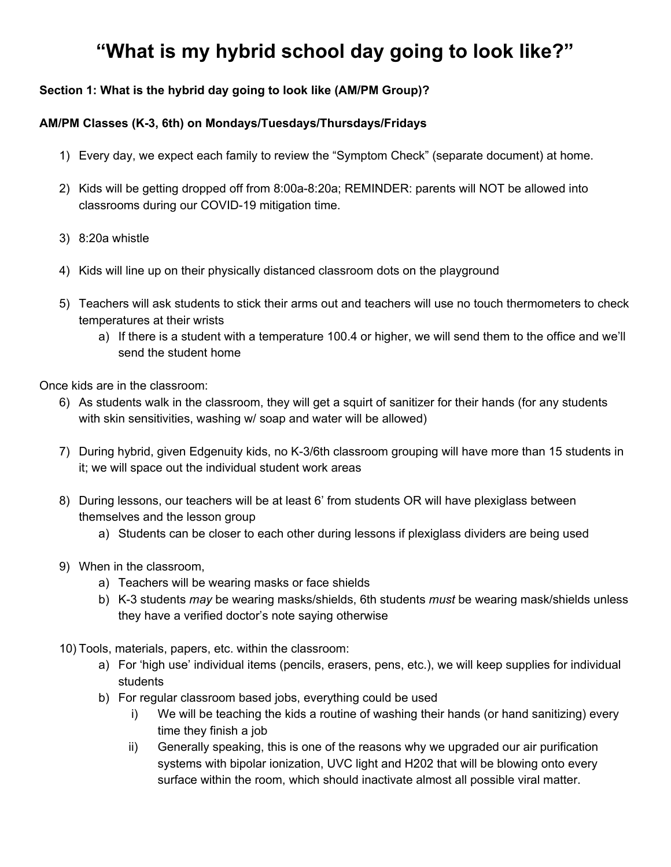#### **Instruction specific items for A/B Groups:**

- As you know, we've got these divided by grade levels; we will EITHER have 4th or 5th graders or 7th or 8th graders on the site-based Hybrid days.
	- For the grade levels that are at home, we still be providing video-conference based lessons (though not as many; 2-3 plus independent work)

### **Bigger picture Goals:**

Goal 1: Keep co-teachers more than 6' apart from each other (unless plexiglass in between);

Goal 2: Keep teachers more than 6' from students as much as reasonably possible (unless plexiglass in between);

- We're trying to avoid ANY adult being within 6' of another person for MORE than 15 minutes - this is 'sustained close contact' in the COVID rules, and we want to AVOID that if possible

Goal 3: Keep students at least 3' apart from each other (unless plexiglass in between)

Goal 4: Have kids (and staff) wash or sanitize their hands at each 'transitional' point (inside to outside, between jobs, etc.)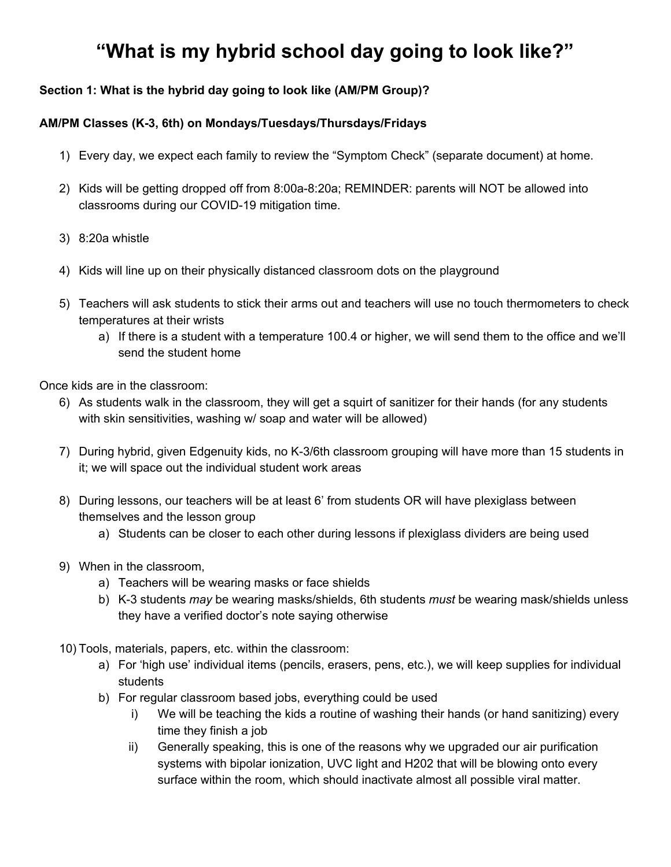**Section 3: What's going to be different in my classroom?**

We've got 'dots' physically spaced on the playground by classroom color for line up at the bell (picture **of our 'Green' dots below):**



**All individual student desks will have Study Carrels on them with plexiglass faces; and during hybrid, with only ½ the desks being used, we will have the kids spaced out:**



**'Regular' tables will also have plexiglass dividers on them:**

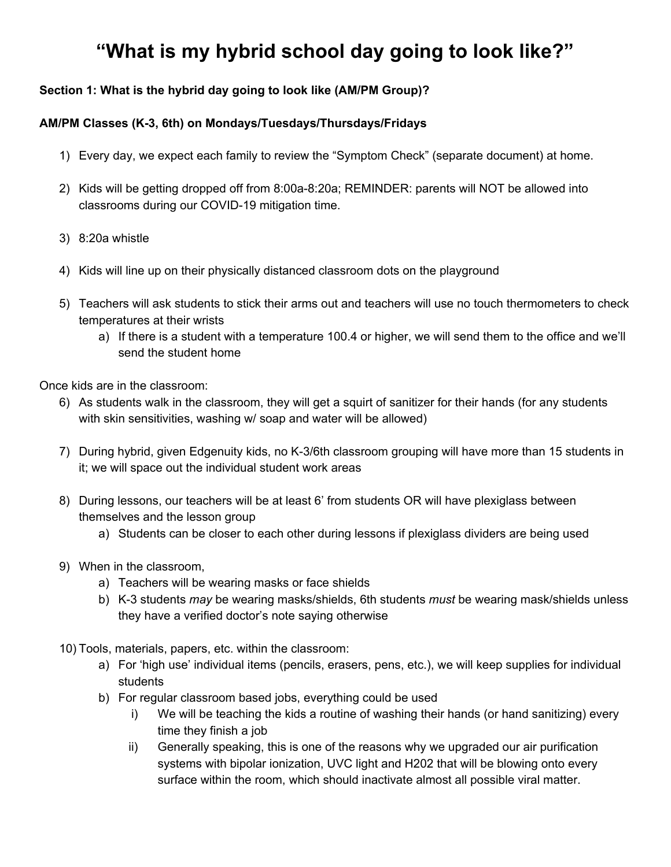**Teacher Lesson Tables, including the Kidney tables, will have plexiglass dividers on them like these:**



When we're inside, **teachers will be wearing cloth masks or face shields (like the ones in the pictures below**). For students 4th grade and older, they will be wearing masks or face shields as well. For students 3rd grade and younger, they may wear cloth masks or face shields.





We're going to have no-touch hand sanitizer devices like this one in every classroom, in the MPR and **at the lunch areas.**